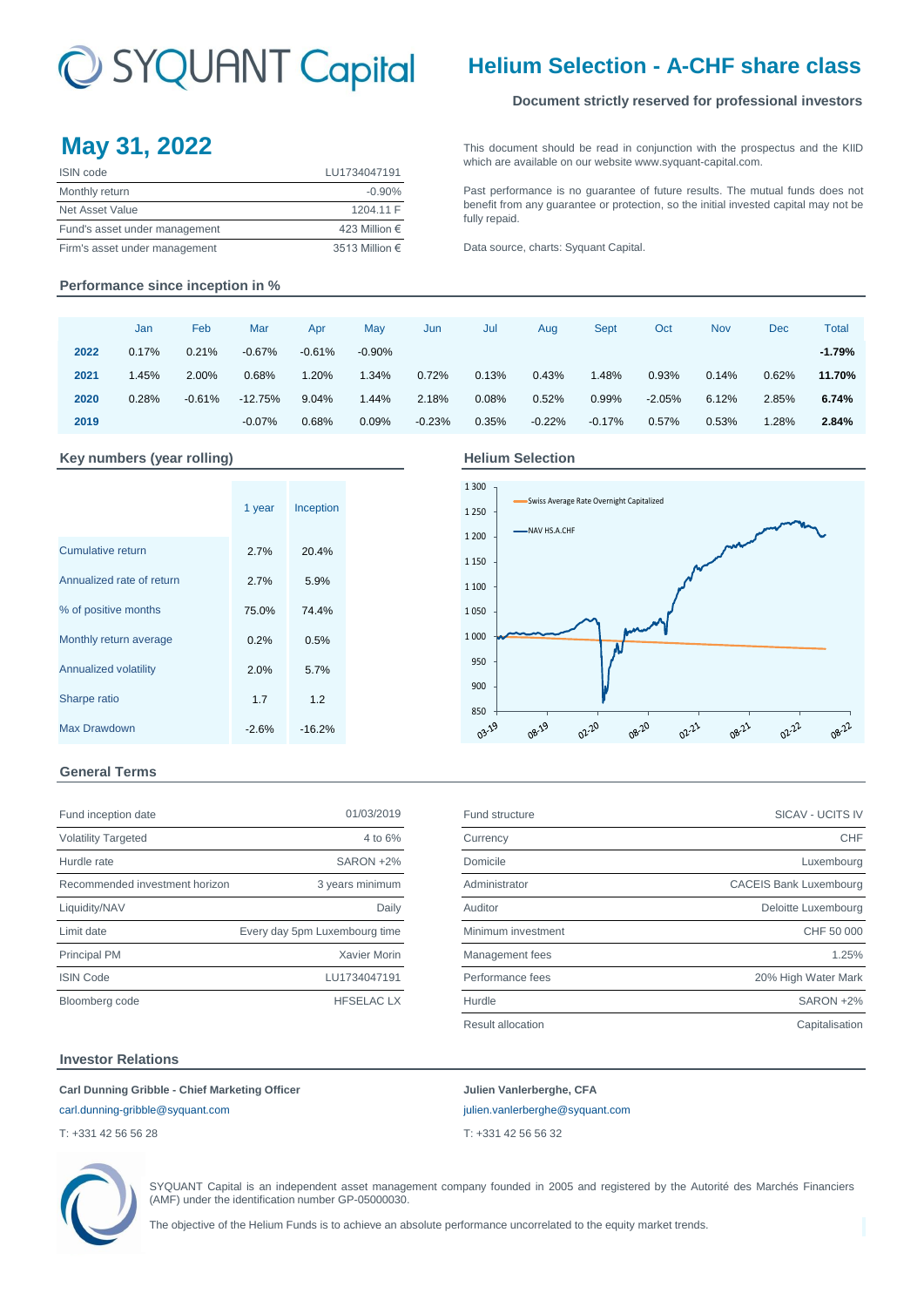# C SYQUANT Capital

## **Helium Selection - A-CHF share class**

### **Document strictly reserved for professional investors**

# **May 31, 2022** [This](http://www.syquant-capital.fr/publications-syquant-capital.php) [document](http://www.syquant-capital.fr/publications-syquant-capital.php) [should](http://www.syquant-capital.fr/publications-syquant-capital.php) be read in [conjunction](http://www.syquant-capital.fr/publications-syquant-capital.php) with the prospectus and the KIID

| <b>ISIN</b> code              | LU1734047191   |
|-------------------------------|----------------|
| Monthly return                | $-0.90\%$      |
| Net Asset Value               | 1204.11 F      |
| Fund's asset under management | 423 Million €  |
| Firm's asset under management | 3513 Million € |

[which are a](http://www.syquant-capital.fr/publications-syquant-capital.php)vailable on our website www.syquant-capital.com. [Past](http://www.syquant-capital.fr/publications-syquant-capital.php) [performance](http://www.syquant-capital.fr/publications-syquant-capital.php) is no [guarantee](http://www.syquant-capital.fr/publications-syquant-capital.php) of future results. The mutual funds does not

[benefit](http://www.syquant-capital.fr/publications-syquant-capital.php) [from](http://www.syquant-capital.fr/publications-syquant-capital.php) [any](http://www.syquant-capital.fr/publications-syquant-capital.php) [guarantee](http://www.syquant-capital.fr/publications-syquant-capital.php) or [protection,](http://www.syquant-capital.fr/publications-syquant-capital.php) so the initial invested capital may not be [fully repaid.](http://www.syquant-capital.fr/publications-syquant-capital.php)

[Data source](http://www.syquant-capital.fr/publications-syquant-capital.php), charts: Syquant Capital.

#### **Performance since inception in %**

|      | Jan   | Feb      | Mar       | Apr       | May      | Jun      | Jul   | Aug      | Sept     | Oct      | <b>Nov</b> | Dec   | <b>Total</b> |
|------|-------|----------|-----------|-----------|----------|----------|-------|----------|----------|----------|------------|-------|--------------|
| 2022 | 0.17% | 0.21%    | $-0.67%$  | $-0.61\%$ | $-0.90%$ |          |       |          |          |          |            |       | $-1.79%$     |
| 2021 | 1.45% | 2.00%    | 0.68%     | 1.20%     | 1.34%    | 0.72%    | 0.13% | 0.43%    | 1.48%    | 0.93%    | 0.14%      | 0.62% | 11.70%       |
| 2020 | 0.28% | $-0.61%$ | $-12.75%$ | 9.04%     | 1.44%    | 2.18%    | 0.08% | 0.52%    | 0.99%    | $-2.05%$ | 6.12%      | 2.85% | 6.74%        |
| 2019 |       |          | $-0.07%$  | 0.68%     | 0.09%    | $-0.23%$ | 0.35% | $-0.22%$ | $-0.17%$ | 0.57%    | 0.53%      | 1.28% | 2.84%        |

#### Key numbers (year rolling) **Accord Accord Figure 3 Helium Selection**

|                           | 1 year  | Inception |  |
|---------------------------|---------|-----------|--|
| Cumulative return         | 2.7%    | 20.4%     |  |
| Annualized rate of return | 2.7%    | 5.9%      |  |
| % of positive months      | 75.0%   | 74.4%     |  |
| Monthly return average    | 0.2%    | 0.5%      |  |
| Annualized volatility     | 2.0%    | 5.7%      |  |
| Sharpe ratio              | 1.7     | 1.2       |  |
| Max Drawdown              | $-2.6%$ | $-16.2%$  |  |

#### 1 300 Swiss Average Rate Overnight Capitalized 1 250 NAV HS.A.CHF 1 200 1 150 1 100 1 050 1 000 950 900  $850 + 19$ 08.19 02-20 08-20 08-21 02-22 08-22 02-21

#### **General Terms**

| Fund inception date            | 01/03/2019                    |
|--------------------------------|-------------------------------|
| <b>Volatility Targeted</b>     | 4 to $6\%$                    |
| Hurdle rate                    | SARON +2%                     |
| Recommended investment horizon | 3 years minimum               |
| Liquidity/NAV                  | Daily                         |
| Limit date                     | Every day 5pm Luxembourg time |
| <b>Principal PM</b>            | Xavier Morin                  |
| <b>ISIN Code</b>               | LU1734047191                  |
| Bloomberg code                 | <b>HFSELACLX</b>              |

| Fund inception date            | 01/03/2019                    | Fund structure           | SICAV - UCITS IV              |
|--------------------------------|-------------------------------|--------------------------|-------------------------------|
| <b>Volatility Targeted</b>     | 4 to 6%                       | Currency                 | CHF                           |
| Hurdle rate                    | SARON +2%                     | Domicile                 | Luxembourg                    |
| Recommended investment horizon | 3 years minimum               | Administrator            | <b>CACEIS Bank Luxembourg</b> |
| Liquidity/NAV                  | Daily                         | Auditor                  | Deloitte Luxembourg           |
| Limit date                     | Every day 5pm Luxembourg time | Minimum investment       | CHF 50 000                    |
| <b>Principal PM</b>            | Xavier Morin                  | Management fees          | 1.25%                         |
| <b>ISIN Code</b>               | LU1734047191                  | Performance fees         | 20% High Water Mark           |
| Bloomberg code                 | <b>HFSELACLX</b>              | Hurdle                   | SARON +2%                     |
|                                |                               | <b>Result allocation</b> | Capitalisation                |
|                                |                               |                          |                               |

#### **Investor Relations**

**Carl Dunning Gribble - Chief Marketing Officer Julien Vanlerberghe, CFA**  [carl.dunning-gribble@syquant.com](mailto:carl.dunning-gribble@syquant.com) [julien.vanlerberghe@syquant.com](mailto:julien.vanlerberghe@syquant.com) 

T: +331 42 56 56 28 T: +331 42 56 56 32



SYQUANT Capital is an independent asset management company founded in 2005 and registered by the Autorité des Marchés Financiers (AMF) under the identification number GP-05000030.

The objective of the Helium Funds is to achieve an absolute performance uncorrelated to the equity market trends.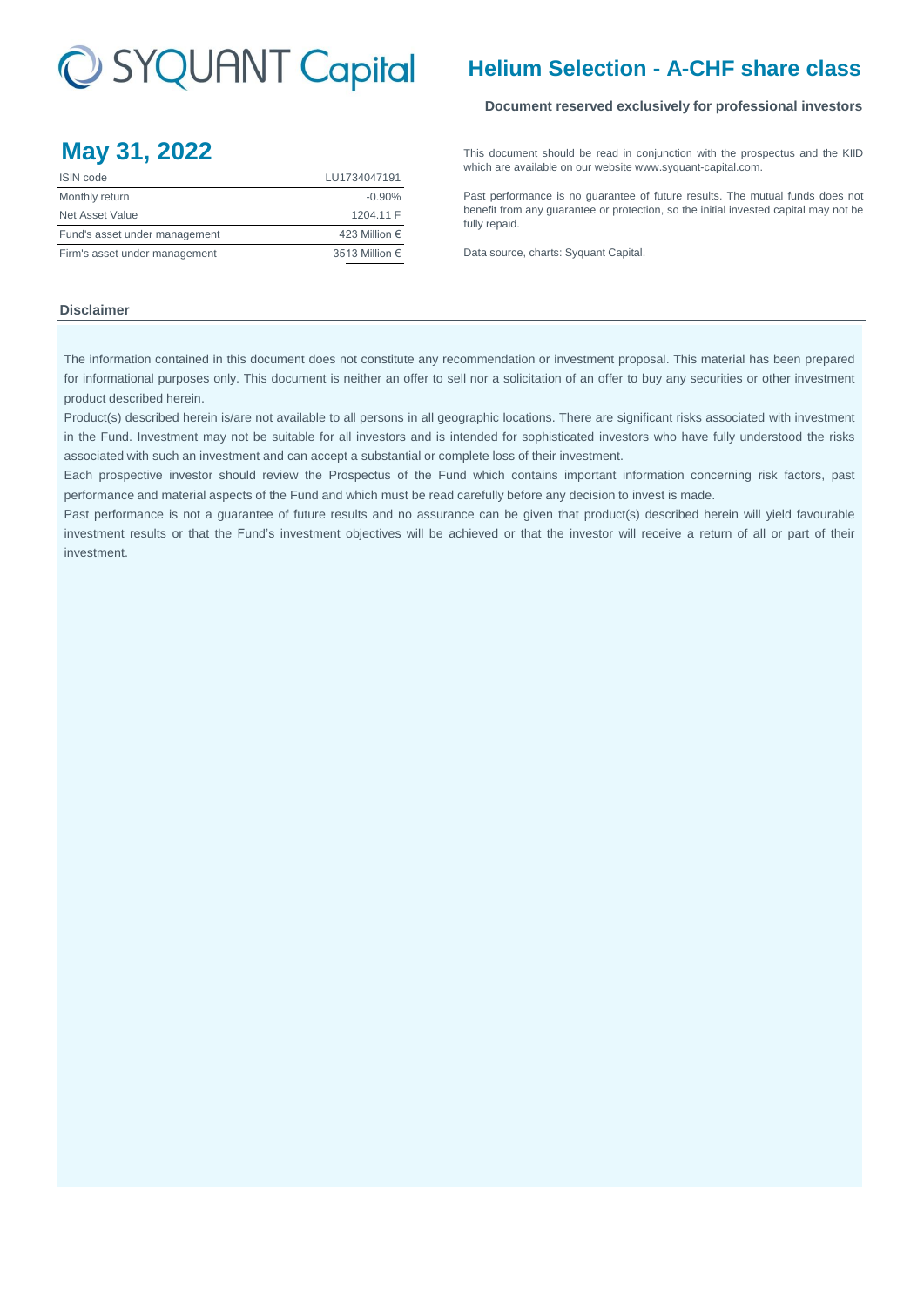# C SYQUANT Capital

| $m \times y \times T$         |                |
|-------------------------------|----------------|
| <b>ISIN</b> code              | LU1734047191   |
| Monthly return                | $-0.90%$       |
| Net Asset Value               | 1204.11 F      |
| Fund's asset under management | 423 Million €  |
| Firm's asset under management | 3513 Million € |

## **Helium Selection - A-CHF share class**

### **Document reserved exclusively for professional investors**

**May 31, 2022** [This](http://www.syquant-capital.fr/publications-syquant-capital.php) [document](http://www.syquant-capital.fr/publications-syquant-capital.php) [should](http://www.syquant-capital.fr/publications-syquant-capital.php) be read in [conjunction](http://www.syquant-capital.fr/publications-syquant-capital.php) with the prospectus and the KIID [which are a](http://www.syquant-capital.fr/publications-syquant-capital.php)vailable on our website www.syquant-capital.com.

> [Past](http://www.syquant-capital.fr/publications-syquant-capital.php) [performance](http://www.syquant-capital.fr/publications-syquant-capital.php) is no [guarantee](http://www.syquant-capital.fr/publications-syquant-capital.php) of future results. The mutual funds does not [benefit](http://www.syquant-capital.fr/publications-syquant-capital.php) [from](http://www.syquant-capital.fr/publications-syquant-capital.php) [any](http://www.syquant-capital.fr/publications-syquant-capital.php) [guarantee](http://www.syquant-capital.fr/publications-syquant-capital.php) or [protection,](http://www.syquant-capital.fr/publications-syquant-capital.php) so the initial invested capital may not be [fully repaid.](http://www.syquant-capital.fr/publications-syquant-capital.php)

[Data source](http://www.syquant-capital.fr/publications-syquant-capital.php), charts: Syquant Capital.

#### **Disclaimer**

The information contained in this document does not constitute any recommendation or investment proposal. This material has been prepared for informational purposes only. This document is neither an offer to sell nor a solicitation of an offer to buy any securities or other investment product described herein.

Product(s) described herein is/are not available to all persons in all geographic locations. There are significant risks associated with investment in the Fund. Investment may not be suitable for all investors and is intended for sophisticated investors who have fully understood the risks associated with such an investment and can accept a substantial or complete loss of their investment.

Each prospective investor should review the Prospectus of the Fund which contains important information concerning risk factors, past performance and material aspects of the Fund and which must be read carefully before any decision to invest is made.

Past performance is not a guarantee of future results and no assurance can be given that product(s) described herein will yield favourable investment results or that the Fund's investment objectives will be achieved or that the investor will receive a return of all or part of their investment.